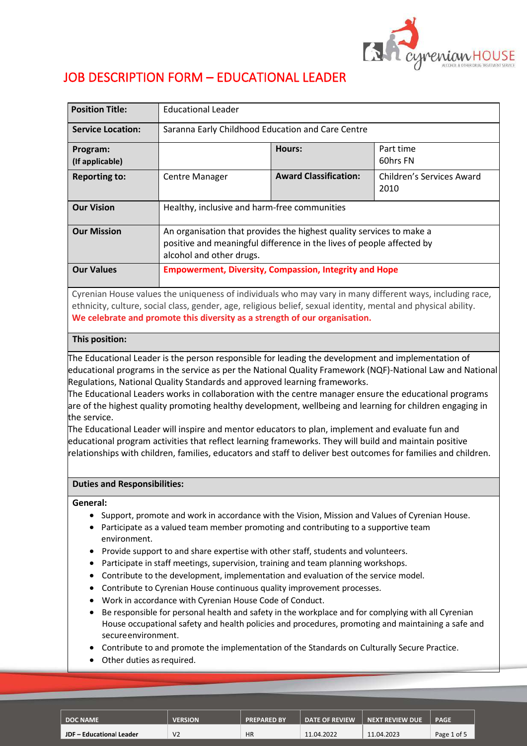

# JOB DESCRIPTION FORM – EDUCATIONAL LEADER

| <b>Position Title:</b>                                                                                   | <b>Educational Leader</b>                                                                                                                                                 |                              |                                   |  |  |
|----------------------------------------------------------------------------------------------------------|---------------------------------------------------------------------------------------------------------------------------------------------------------------------------|------------------------------|-----------------------------------|--|--|
| <b>Service Location:</b>                                                                                 | Saranna Early Childhood Education and Care Centre                                                                                                                         |                              |                                   |  |  |
| Program:<br>(If applicable)                                                                              |                                                                                                                                                                           | <b>Hours:</b>                | Part time<br>60hrs FN             |  |  |
| <b>Reporting to:</b>                                                                                     | <b>Centre Manager</b>                                                                                                                                                     | <b>Award Classification:</b> | Children's Services Award<br>2010 |  |  |
| <b>Our Vision</b>                                                                                        | Healthy, inclusive and harm-free communities                                                                                                                              |                              |                                   |  |  |
| <b>Our Mission</b>                                                                                       | An organisation that provides the highest quality services to make a<br>positive and meaningful difference in the lives of people affected by<br>alcohol and other drugs. |                              |                                   |  |  |
| <b>Our Values</b>                                                                                        | <b>Empowerment, Diversity, Compassion, Integrity and Hope</b>                                                                                                             |                              |                                   |  |  |
| Cyrenian House values the uniqueness of individuals who may vary in many different ways, including race, |                                                                                                                                                                           |                              |                                   |  |  |

ethnicity, culture, social class, gender, age, religious belief, sexual identity, mental and physical ability. **We celebrate and promote this diversity as a strength of our organisation.**

# **This position:**

The Educational Leader is the person responsible for leading the development and implementation of educational programs in the service as per the National Quality Framework (NQF)-National Law and National Regulations, National Quality Standards and approved learning frameworks.

The Educational Leaders works in collaboration with the centre manager ensure the educational programs are of the highest quality promoting healthy development, wellbeing and learning for children engaging in the service.

The Educational Leader will inspire and mentor educators to plan, implement and evaluate fun and educational program activities that reflect learning frameworks. They will build and maintain positive relationships with children, families, educators and staff to deliver best outcomes for families and children.

## **Duties and Responsibilities:**

## **General:**

- Support, promote and work in accordance with the Vision, Mission and Values of Cyrenian House.
- Participate as a valued team member promoting and contributing to a supportive team environment.
- Provide support to and share expertise with other staff, students and volunteers.
- Participate in staff meetings, supervision, training and team planning workshops.
- Contribute to the development, implementation and evaluation of the service model.
- Contribute to Cyrenian House continuous quality improvement processes.
- Work in accordance with Cyrenian House Code of Conduct.
- Be responsible for personal health and safety in the workplace and for complying with all Cyrenian House occupational safety and health policies and procedures, promoting and maintaining a safe and secureenvironment.
- Contribute to and promote the implementation of the Standards on Culturally Secure Practice.
- Other duties as required.

| <b>DOC NAME</b>          | <b>VERSION</b> | <b>PREPARED BY</b> | <b>DATE OF REVIEW</b> | NEXT REVIEW DUE ' | <b>PAGE</b> |
|--------------------------|----------------|--------------------|-----------------------|-------------------|-------------|
| JDF - Educational Leader | V <sub>2</sub> | <b>HR</b>          | 11.04.2022            | 11.04.2023        | Page 1 of 5 |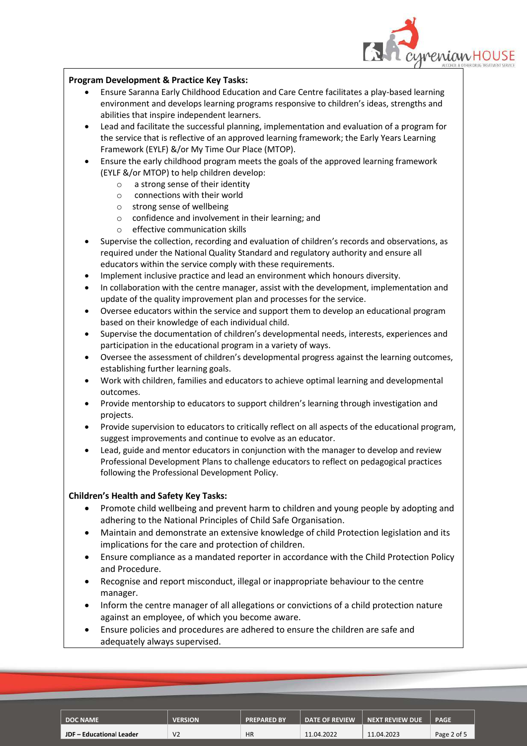

# **Program Development & Practice Key Tasks:**

- Ensure Saranna Early Childhood Education and Care Centre facilitates a play-based learning environment and develops learning programs responsive to children's ideas, strengths and abilities that inspire independent learners.
- Lead and facilitate the successful planning, implementation and evaluation of a program for the service that is reflective of an approved learning framework; the Early Years Learning Framework (EYLF) &/or My Time Our Place (MTOP).
- Ensure the early childhood program meets the goals of the approved learning framework (EYLF &/or MTOP) to help children develop:
	- o a strong sense of their identity
	- o connections with their world
	- o strong sense of wellbeing
	- o confidence and involvement in their learning; and
	- o effective communication skills
- Supervise the collection, recording and evaluation of children's records and observations, as required under the National Quality Standard and regulatory authority and ensure all educators within the service comply with these requirements.
- Implement inclusive practice and lead an environment which honours diversity.
- In collaboration with the centre manager, assist with the development, implementation and update of the quality improvement plan and processes for the service.
- Oversee educators within the service and support them to develop an educational program based on their knowledge of each individual child.
- Supervise the documentation of children's developmental needs, interests, experiences and participation in the educational program in a variety of ways.
- Oversee the assessment of children's developmental progress against the learning outcomes, establishing further learning goals.
- Work with children, families and educators to achieve optimal learning and developmental outcomes.
- Provide mentorship to educators to support children's learning through investigation and projects.
- Provide supervision to educators to critically reflect on all aspects of the educational program, suggest improvements and continue to evolve as an educator.
- Lead, guide and mentor educators in conjunction with the manager to develop and review Professional Development Plans to challenge educators to reflect on pedagogical practices following the Professional Development Policy.

# **Children's Health and Safety Key Tasks:**

- Promote child wellbeing and prevent harm to children and young people by adopting and adhering to the National Principles of Child Safe Organisation.
- Maintain and demonstrate an extensive knowledge of child Protection legislation and its implications for the care and protection of children.
- Ensure compliance as a mandated reporter in accordance with the Child Protection Policy and Procedure.
- Recognise and report misconduct, illegal or inappropriate behaviour to the centre manager.
- Inform the centre manager of all allegations or convictions of a child protection nature against an employee, of which you become aware.
- Ensure policies and procedures are adhered to ensure the children are safe and adequately always supervised.

| <b>DOC NAME</b>          | <b>VERSION</b> | <b>PREPARED BY</b> | <b>DATE OF REVIEW</b> | NEXT REVIEW DUE | <b>PAGE</b> |
|--------------------------|----------------|--------------------|-----------------------|-----------------|-------------|
| JDF - Educational Leader | V <sub>2</sub> | <b>HR</b>          | 11.04.2022            | 11.04.2023      | Page 2 of 5 |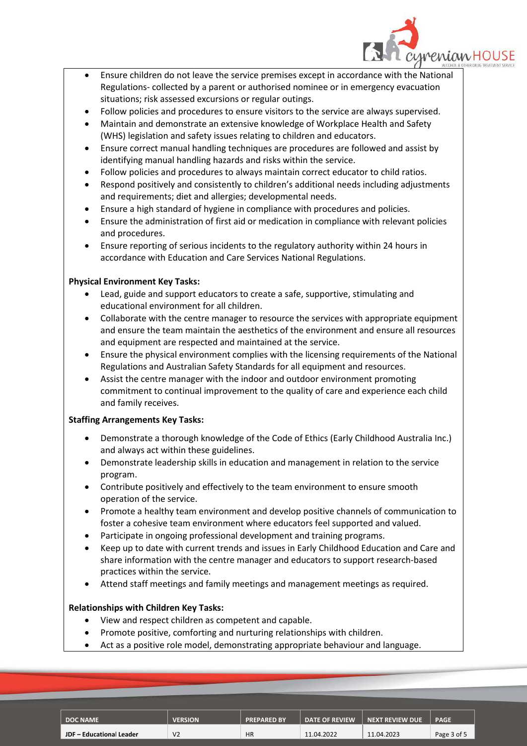

- Ensure children do not leave the service premises except in accordance with the National Regulations- collected by a parent or authorised nominee or in emergency evacuation situations; risk assessed excursions or regular outings.
- Follow policies and procedures to ensure visitors to the service are always supervised.
- Maintain and demonstrate an extensive knowledge of Workplace Health and Safety (WHS) legislation and safety issues relating to children and educators.
- Ensure correct manual handling techniques are procedures are followed and assist by identifying manual handling hazards and risks within the service.
- Follow policies and procedures to always maintain correct educator to child ratios.
- Respond positively and consistently to children's additional needs including adjustments and requirements; diet and allergies; developmental needs.
- Ensure a high standard of hygiene in compliance with procedures and policies.
- Ensure the administration of first aid or medication in compliance with relevant policies and procedures.
- Ensure reporting of serious incidents to the regulatory authority within 24 hours in accordance with Education and Care Services National Regulations.

# **Physical Environment Key Tasks:**

- Lead, guide and support educators to create a safe, supportive, stimulating and educational environment for all children.
- Collaborate with the centre manager to resource the services with appropriate equipment and ensure the team maintain the aesthetics of the environment and ensure all resources and equipment are respected and maintained at the service.
- Ensure the physical environment complies with the licensing requirements of the National Regulations and Australian Safety Standards for all equipment and resources.
- Assist the centre manager with the indoor and outdoor environment promoting commitment to continual improvement to the quality of care and experience each child and family receives.

# **Staffing Arrangements Key Tasks:**

- Demonstrate a thorough knowledge of the Code of Ethics (Early Childhood Australia Inc.) and always act within these guidelines.
- Demonstrate leadership skills in education and management in relation to the service program.
- Contribute positively and effectively to the team environment to ensure smooth operation of the service.
- Promote a healthy team environment and develop positive channels of communication to foster a cohesive team environment where educators feel supported and valued.
- Participate in ongoing professional development and training programs.
- Keep up to date with current trends and issues in Early Childhood Education and Care and share information with the centre manager and educators to support research-based practices within the service.
- Attend staff meetings and family meetings and management meetings as required.

# **Relationships with Children Key Tasks:**

- View and respect children as competent and capable.
- Promote positive, comforting and nurturing relationships with children.
- Act as a positive role model, demonstrating appropriate behaviour and language.

| <b>DOC NAME</b>          | <b>VERSION</b> | <b>PREPARED BY</b> | <b>DATE OF REVIEW</b> | <b>NEXT REVIEW DUE</b> | <b>PAGE</b> |
|--------------------------|----------------|--------------------|-----------------------|------------------------|-------------|
| JDF - Educational Leader | V <sub>2</sub> | <b>HR</b>          | 11.04.2022            | 11.04.2023             | Page 3 of 5 |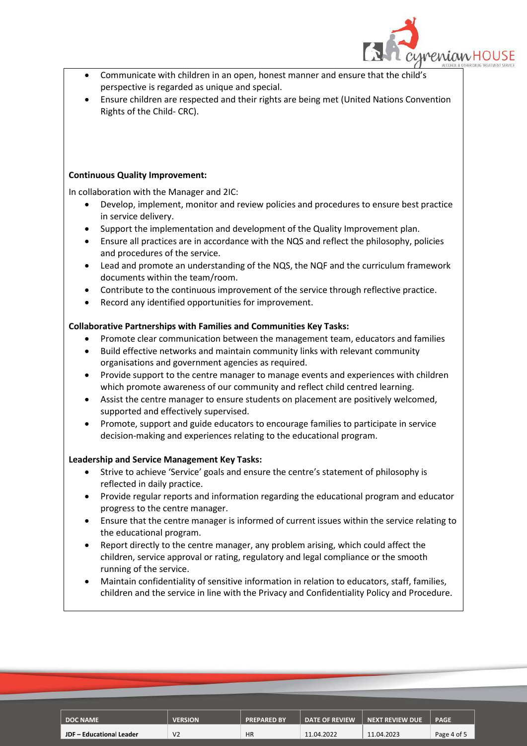

- Communicate with children in an open, honest manner and ensure that the child's perspective is regarded as unique and special.
- Ensure children are respected and their rights are being met (United Nations Convention Rights of the Child- CRC).

#### **Continuous Quality Improvement:**

In collaboration with the Manager and 2IC:

- Develop, implement, monitor and review policies and procedures to ensure best practice in service delivery.
- Support the implementation and development of the Quality Improvement plan.
- Ensure all practices are in accordance with the NQS and reflect the philosophy, policies and procedures of the service.
- Lead and promote an understanding of the NQS, the NQF and the curriculum framework documents within the team/room.
- Contribute to the continuous improvement of the service through reflective practice.
- Record any identified opportunities for improvement.

# **Collaborative Partnerships with Families and Communities Key Tasks:**

- Promote clear communication between the management team, educators and families
- Build effective networks and maintain community links with relevant community organisations and government agencies as required.
- Provide support to the centre manager to manage events and experiences with children which promote awareness of our community and reflect child centred learning.
- Assist the centre manager to ensure students on placement are positively welcomed, supported and effectively supervised.
- Promote, support and guide educators to encourage families to participate in service decision-making and experiences relating to the educational program.

## **Leadership and Service Management Key Tasks:**

- Strive to achieve 'Service' goals and ensure the centre's statement of philosophy is reflected in daily practice.
- Provide regular reports and information regarding the educational program and educator progress to the centre manager.
- Ensure that the centre manager is informed of current issues within the service relating to the educational program.
- Report directly to the centre manager, any problem arising, which could affect the children, service approval or rating, regulatory and legal compliance or the smooth running of the service.
- Maintain confidentiality of sensitive information in relation to educators, staff, families, children and the service in line with the Privacy and Confidentiality Policy and Procedure.

| DOC NAME                 | <b>VERSION</b> | <b>PREPARED BY</b> | <b>DATE OF REVIEW</b> | <b>NEXT REVIEW DUE</b> | <b>PAGE</b> |
|--------------------------|----------------|--------------------|-----------------------|------------------------|-------------|
|                          |                |                    |                       |                        |             |
| JDF - Educational Leader | V <sub>2</sub> | <b>HR</b>          | 11.04.2022            | 11.04.2023             | Page 4 of 5 |